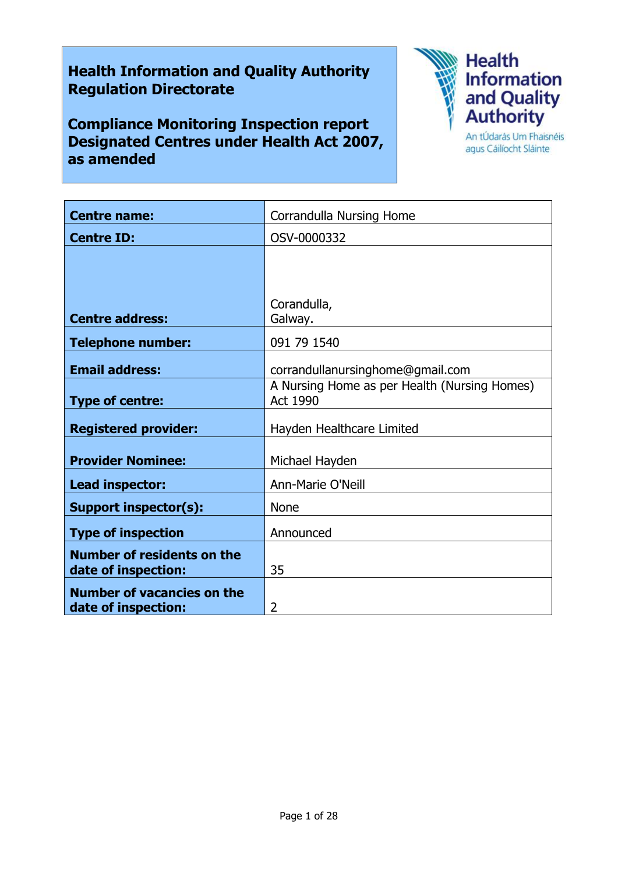# Health Information and Quality Authority Regulation Directorate

Compliance Monitoring Inspection report Designated Centres under Health Act 2007, as amended



agus Cáilíocht Sláinte

| <b>Centre name:</b>                                      | Corrandulla Nursing Home                                 |
|----------------------------------------------------------|----------------------------------------------------------|
| <b>Centre ID:</b>                                        | OSV-0000332                                              |
|                                                          |                                                          |
|                                                          |                                                          |
|                                                          | Corandulla,                                              |
| <b>Centre address:</b>                                   | Galway.                                                  |
| <b>Telephone number:</b>                                 | 091 79 1540                                              |
| <b>Email address:</b>                                    | corrandullanursinghome@gmail.com                         |
| <b>Type of centre:</b>                                   | A Nursing Home as per Health (Nursing Homes)<br>Act 1990 |
| <b>Registered provider:</b>                              | Hayden Healthcare Limited                                |
| <b>Provider Nominee:</b>                                 | Michael Hayden                                           |
| Lead inspector:                                          | Ann-Marie O'Neill                                        |
| <b>Support inspector(s):</b>                             | <b>None</b>                                              |
| <b>Type of inspection</b>                                | Announced                                                |
| <b>Number of residents on the</b><br>date of inspection: | 35                                                       |
| <b>Number of vacancies on the</b><br>date of inspection: | 2                                                        |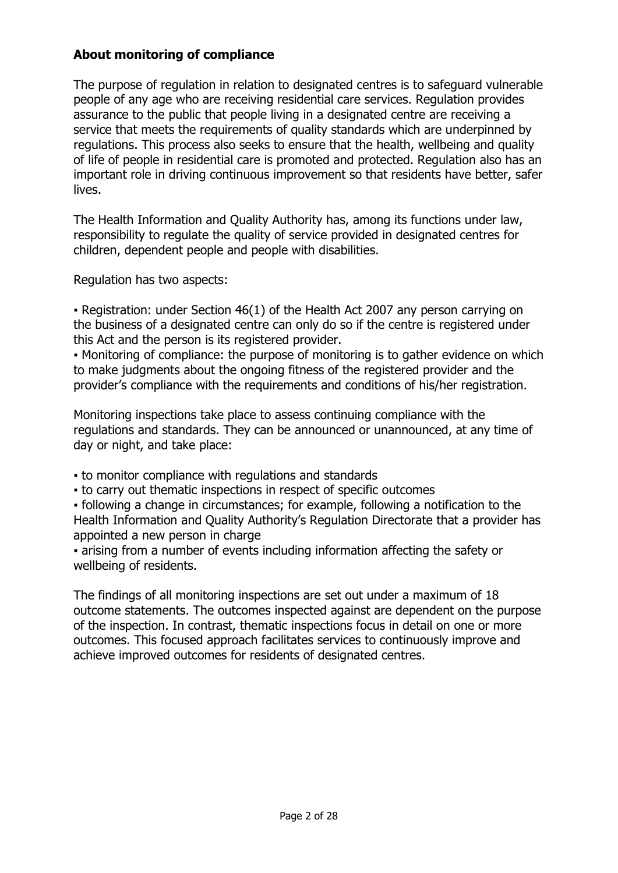# About monitoring of compliance

The purpose of regulation in relation to designated centres is to safeguard vulnerable people of any age who are receiving residential care services. Regulation provides assurance to the public that people living in a designated centre are receiving a service that meets the requirements of quality standards which are underpinned by regulations. This process also seeks to ensure that the health, wellbeing and quality of life of people in residential care is promoted and protected. Regulation also has an important role in driving continuous improvement so that residents have better, safer lives.

The Health Information and Quality Authority has, among its functions under law, responsibility to regulate the quality of service provided in designated centres for children, dependent people and people with disabilities.

Regulation has two aspects:

• Registration: under Section 46(1) of the Health Act 2007 any person carrying on the business of a designated centre can only do so if the centre is registered under this Act and the person is its registered provider.

▪ Monitoring of compliance: the purpose of monitoring is to gather evidence on which to make judgments about the ongoing fitness of the registered provider and the provider's compliance with the requirements and conditions of his/her registration.

Monitoring inspections take place to assess continuing compliance with the regulations and standards. They can be announced or unannounced, at any time of day or night, and take place:

- to monitor compliance with regulations and standards
- to carry out thematic inspections in respect of specific outcomes

▪ following a change in circumstances; for example, following a notification to the Health Information and Quality Authority's Regulation Directorate that a provider has appointed a new person in charge

▪ arising from a number of events including information affecting the safety or wellbeing of residents.

The findings of all monitoring inspections are set out under a maximum of 18 outcome statements. The outcomes inspected against are dependent on the purpose of the inspection. In contrast, thematic inspections focus in detail on one or more outcomes. This focused approach facilitates services to continuously improve and achieve improved outcomes for residents of designated centres.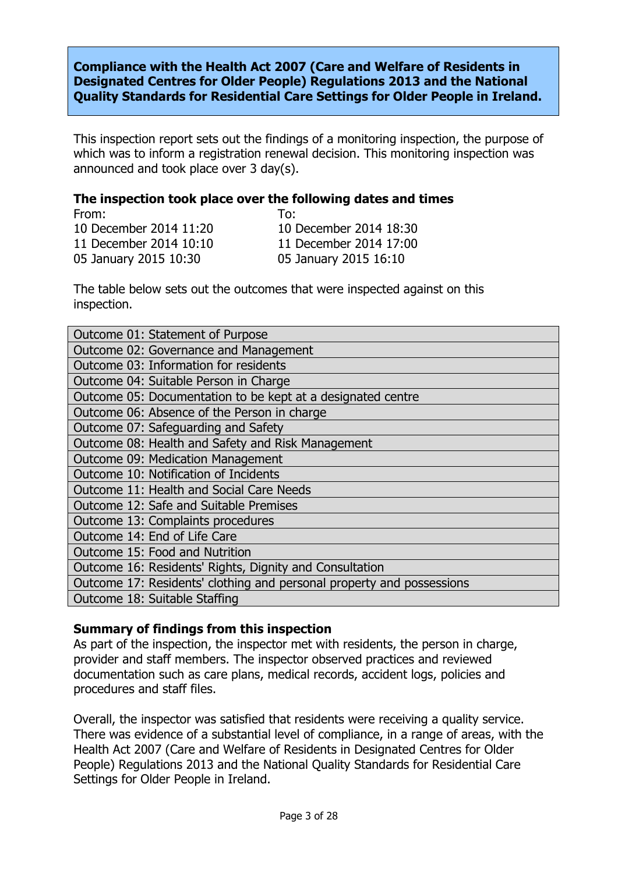Compliance with the Health Act 2007 (Care and Welfare of Residents in Designated Centres for Older People) Regulations 2013 and the National Quality Standards for Residential Care Settings for Older People in Ireland.

This inspection report sets out the findings of a monitoring inspection, the purpose of which was to inform a registration renewal decision. This monitoring inspection was announced and took place over 3 day(s).

## The inspection took place over the following dates and times

From: To: 10 December 2014 11:20 10 December 2014 18:30 11 December 2014 10:10 11 December 2014 17:00 05 January 2015 10:30 05 January 2015 16:10

The table below sets out the outcomes that were inspected against on this inspection.

| Outcome 01: Statement of Purpose                                      |  |
|-----------------------------------------------------------------------|--|
| Outcome 02: Governance and Management                                 |  |
| Outcome 03: Information for residents                                 |  |
| Outcome 04: Suitable Person in Charge                                 |  |
| Outcome 05: Documentation to be kept at a designated centre           |  |
| Outcome 06: Absence of the Person in charge                           |  |
| Outcome 07: Safeguarding and Safety                                   |  |
| Outcome 08: Health and Safety and Risk Management                     |  |
| <b>Outcome 09: Medication Management</b>                              |  |
| Outcome 10: Notification of Incidents                                 |  |
| Outcome 11: Health and Social Care Needs                              |  |
| Outcome 12: Safe and Suitable Premises                                |  |
| Outcome 13: Complaints procedures                                     |  |
| Outcome 14: End of Life Care                                          |  |
| Outcome 15: Food and Nutrition                                        |  |
| Outcome 16: Residents' Rights, Dignity and Consultation               |  |
| Outcome 17: Residents' clothing and personal property and possessions |  |
| Outcome 18: Suitable Staffing                                         |  |

## Summary of findings from this inspection

As part of the inspection, the inspector met with residents, the person in charge, provider and staff members. The inspector observed practices and reviewed documentation such as care plans, medical records, accident logs, policies and procedures and staff files.

Overall, the inspector was satisfied that residents were receiving a quality service. There was evidence of a substantial level of compliance, in a range of areas, with the Health Act 2007 (Care and Welfare of Residents in Designated Centres for Older People) Regulations 2013 and the National Quality Standards for Residential Care Settings for Older People in Ireland.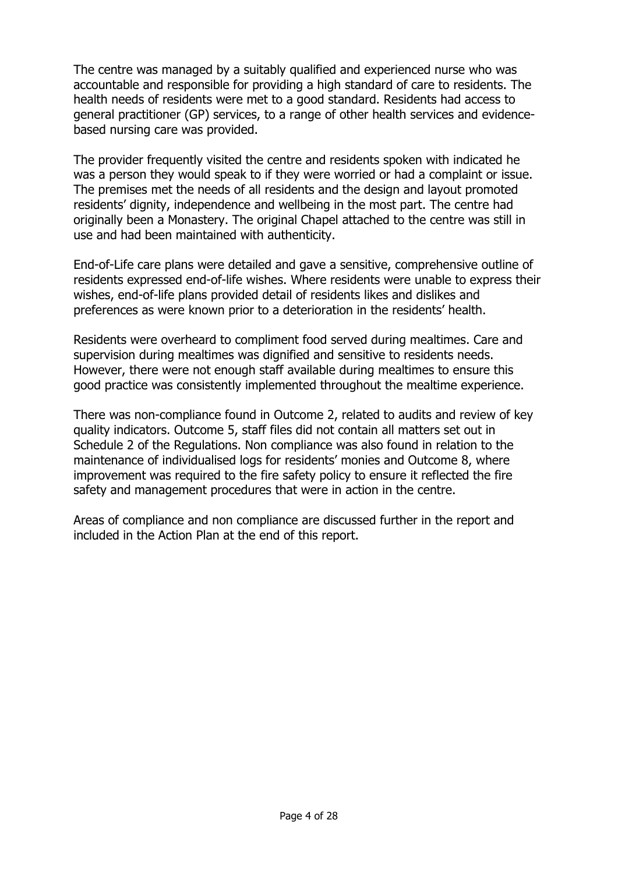The centre was managed by a suitably qualified and experienced nurse who was accountable and responsible for providing a high standard of care to residents. The health needs of residents were met to a good standard. Residents had access to general practitioner (GP) services, to a range of other health services and evidencebased nursing care was provided.

The provider frequently visited the centre and residents spoken with indicated he was a person they would speak to if they were worried or had a complaint or issue. The premises met the needs of all residents and the design and layout promoted residents' dignity, independence and wellbeing in the most part. The centre had originally been a Monastery. The original Chapel attached to the centre was still in use and had been maintained with authenticity.

End-of-Life care plans were detailed and gave a sensitive, comprehensive outline of residents expressed end-of-life wishes. Where residents were unable to express their wishes, end-of-life plans provided detail of residents likes and dislikes and preferences as were known prior to a deterioration in the residents' health.

Residents were overheard to compliment food served during mealtimes. Care and supervision during mealtimes was dignified and sensitive to residents needs. However, there were not enough staff available during mealtimes to ensure this good practice was consistently implemented throughout the mealtime experience.

There was non-compliance found in Outcome 2, related to audits and review of key quality indicators. Outcome 5, staff files did not contain all matters set out in Schedule 2 of the Regulations. Non compliance was also found in relation to the maintenance of individualised logs for residents' monies and Outcome 8, where improvement was required to the fire safety policy to ensure it reflected the fire safety and management procedures that were in action in the centre.

Areas of compliance and non compliance are discussed further in the report and included in the Action Plan at the end of this report.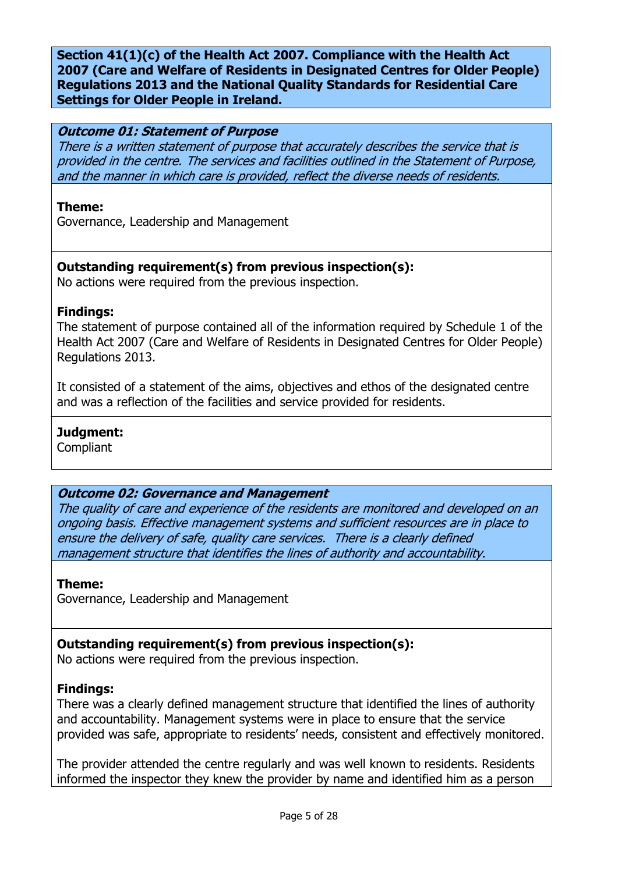Section 41(1)(c) of the Health Act 2007. Compliance with the Health Act 2007 (Care and Welfare of Residents in Designated Centres for Older People) Regulations 2013 and the National Quality Standards for Residential Care Settings for Older People in Ireland.

#### Outcome 01: Statement of Purpose

There is a written statement of purpose that accurately describes the service that is provided in the centre. The services and facilities outlined in the Statement of Purpose, and the manner in which care is provided, reflect the diverse needs of residents.

#### Theme:

Governance, Leadership and Management

# Outstanding requirement(s) from previous inspection(s):

No actions were required from the previous inspection.

## Findings:

The statement of purpose contained all of the information required by Schedule 1 of the Health Act 2007 (Care and Welfare of Residents in Designated Centres for Older People) Regulations 2013.

It consisted of a statement of the aims, objectives and ethos of the designated centre and was a reflection of the facilities and service provided for residents.

## Judgment:

Compliant

## Outcome 02: Governance and Management

The quality of care and experience of the residents are monitored and developed on an ongoing basis. Effective management systems and sufficient resources are in place to ensure the delivery of safe, quality care services. There is a clearly defined management structure that identifies the lines of authority and accountability.

## Theme:

Governance, Leadership and Management

# Outstanding requirement(s) from previous inspection(s):

No actions were required from the previous inspection.

# Findings:

There was a clearly defined management structure that identified the lines of authority and accountability. Management systems were in place to ensure that the service provided was safe, appropriate to residents' needs, consistent and effectively monitored.

The provider attended the centre regularly and was well known to residents. Residents informed the inspector they knew the provider by name and identified him as a person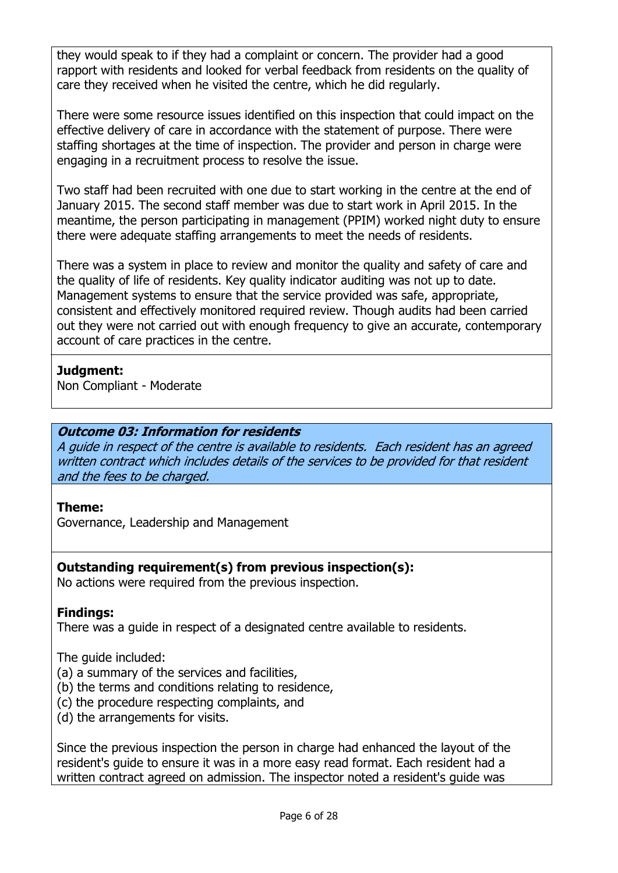they would speak to if they had a complaint or concern. The provider had a good rapport with residents and looked for verbal feedback from residents on the quality of care they received when he visited the centre, which he did regularly.

There were some resource issues identified on this inspection that could impact on the effective delivery of care in accordance with the statement of purpose. There were staffing shortages at the time of inspection. The provider and person in charge were engaging in a recruitment process to resolve the issue.

Two staff had been recruited with one due to start working in the centre at the end of January 2015. The second staff member was due to start work in April 2015. In the meantime, the person participating in management (PPIM) worked night duty to ensure there were adequate staffing arrangements to meet the needs of residents.

There was a system in place to review and monitor the quality and safety of care and the quality of life of residents. Key quality indicator auditing was not up to date. Management systems to ensure that the service provided was safe, appropriate, consistent and effectively monitored required review. Though audits had been carried out they were not carried out with enough frequency to give an accurate, contemporary account of care practices in the centre.

# Judgment:

Non Compliant - Moderate

# Outcome 03: Information for residents

A guide in respect of the centre is available to residents. Each resident has an agreed written contract which includes details of the services to be provided for that resident and the fees to be charged.

# Theme:

Governance, Leadership and Management

# Outstanding requirement(s) from previous inspection(s):

No actions were required from the previous inspection.

# Findings:

There was a guide in respect of a designated centre available to residents.

The guide included:

- (a) a summary of the services and facilities,
- (b) the terms and conditions relating to residence,
- (c) the procedure respecting complaints, and
- (d) the arrangements for visits.

Since the previous inspection the person in charge had enhanced the layout of the resident's guide to ensure it was in a more easy read format. Each resident had a written contract agreed on admission. The inspector noted a resident's guide was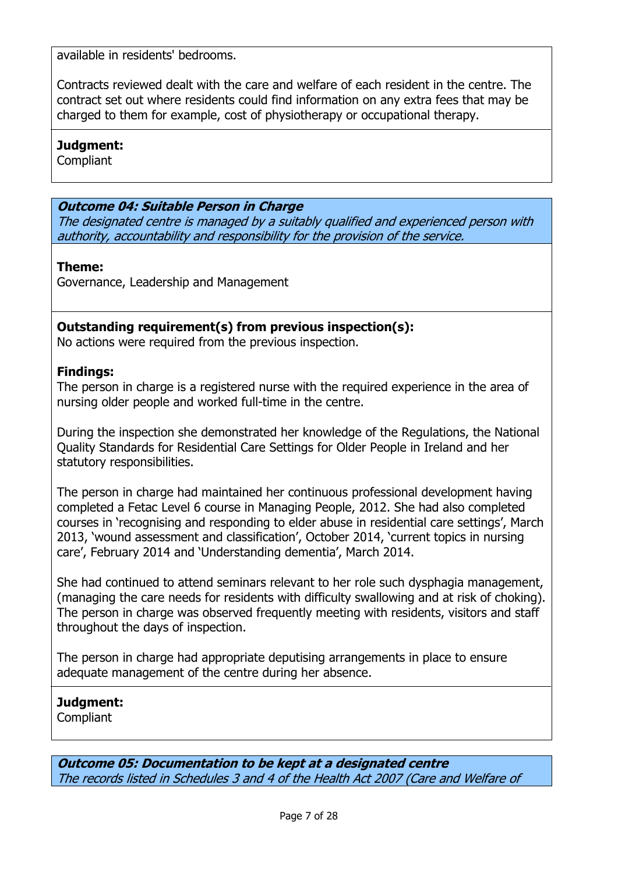available in residents' bedrooms.

Contracts reviewed dealt with the care and welfare of each resident in the centre. The contract set out where residents could find information on any extra fees that may be charged to them for example, cost of physiotherapy or occupational therapy.

## Judgment:

**Compliant** 

# Outcome 04: Suitable Person in Charge

The designated centre is managed by a suitably qualified and experienced person with authority, accountability and responsibility for the provision of the service.

# Theme:

Governance, Leadership and Management

# Outstanding requirement(s) from previous inspection(s):

No actions were required from the previous inspection.

# Findings:

The person in charge is a registered nurse with the required experience in the area of nursing older people and worked full-time in the centre.

During the inspection she demonstrated her knowledge of the Regulations, the National Quality Standards for Residential Care Settings for Older People in Ireland and her statutory responsibilities.

The person in charge had maintained her continuous professional development having completed a Fetac Level 6 course in Managing People, 2012. She had also completed courses in 'recognising and responding to elder abuse in residential care settings', March 2013, 'wound assessment and classification', October 2014, 'current topics in nursing care', February 2014 and 'Understanding dementia', March 2014.

She had continued to attend seminars relevant to her role such dysphagia management, (managing the care needs for residents with difficulty swallowing and at risk of choking). The person in charge was observed frequently meeting with residents, visitors and staff throughout the days of inspection.

The person in charge had appropriate deputising arrangements in place to ensure adequate management of the centre during her absence.

# Judgment:

**Compliant** 

Outcome 05: Documentation to be kept at a designated centre The records listed in Schedules 3 and 4 of the Health Act 2007 (Care and Welfare of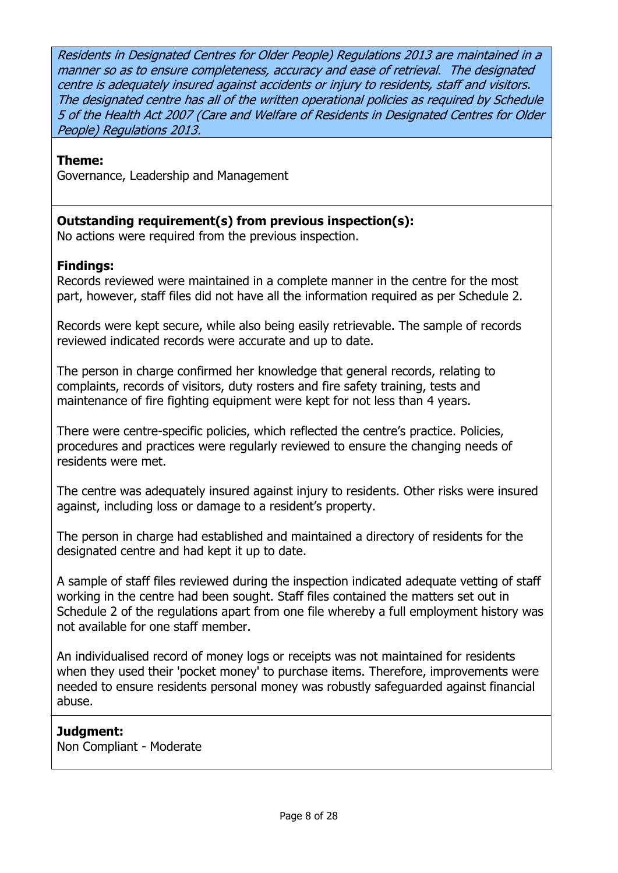Residents in Designated Centres for Older People) Regulations 2013 are maintained in a manner so as to ensure completeness, accuracy and ease of retrieval. The designated centre is adequately insured against accidents or injury to residents, staff and visitors. The designated centre has all of the written operational policies as required by Schedule 5 of the Health Act 2007 (Care and Welfare of Residents in Designated Centres for Older People) Regulations 2013.

## Theme:

Governance, Leadership and Management

# Outstanding requirement(s) from previous inspection(s):

No actions were required from the previous inspection.

# Findings:

Records reviewed were maintained in a complete manner in the centre for the most part, however, staff files did not have all the information required as per Schedule 2.

Records were kept secure, while also being easily retrievable. The sample of records reviewed indicated records were accurate and up to date.

The person in charge confirmed her knowledge that general records, relating to complaints, records of visitors, duty rosters and fire safety training, tests and maintenance of fire fighting equipment were kept for not less than 4 years.

There were centre-specific policies, which reflected the centre's practice. Policies, procedures and practices were regularly reviewed to ensure the changing needs of residents were met.

The centre was adequately insured against injury to residents. Other risks were insured against, including loss or damage to a resident's property.

The person in charge had established and maintained a directory of residents for the designated centre and had kept it up to date.

A sample of staff files reviewed during the inspection indicated adequate vetting of staff working in the centre had been sought. Staff files contained the matters set out in Schedule 2 of the regulations apart from one file whereby a full employment history was not available for one staff member.

An individualised record of money logs or receipts was not maintained for residents when they used their 'pocket money' to purchase items. Therefore, improvements were needed to ensure residents personal money was robustly safeguarded against financial abuse.

# Judgment:

Non Compliant - Moderate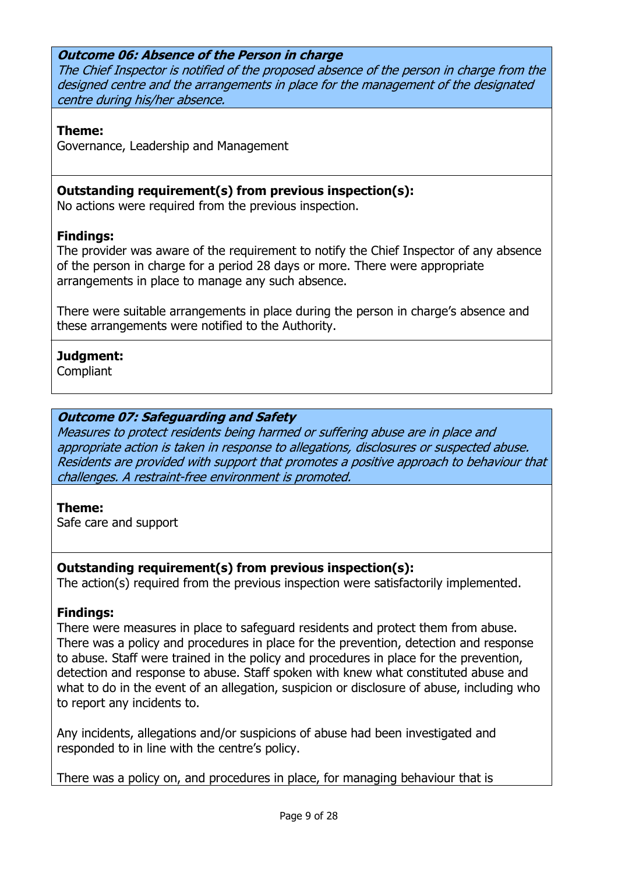# Outcome 06: Absence of the Person in charge

The Chief Inspector is notified of the proposed absence of the person in charge from the designed centre and the arrangements in place for the management of the designated centre during his/her absence.

#### Theme:

Governance, Leadership and Management

# Outstanding requirement(s) from previous inspection(s):

No actions were required from the previous inspection.

# Findings:

The provider was aware of the requirement to notify the Chief Inspector of any absence of the person in charge for a period 28 days or more. There were appropriate arrangements in place to manage any such absence.

There were suitable arrangements in place during the person in charge's absence and these arrangements were notified to the Authority.

# Judgment:

Compliant

# Outcome 07: Safeguarding and Safety

Measures to protect residents being harmed or suffering abuse are in place and appropriate action is taken in response to allegations, disclosures or suspected abuse. Residents are provided with support that promotes a positive approach to behaviour that challenges. A restraint-free environment is promoted.

## Theme:

Safe care and support

## Outstanding requirement(s) from previous inspection(s):

The action(s) required from the previous inspection were satisfactorily implemented.

## Findings:

There were measures in place to safeguard residents and protect them from abuse. There was a policy and procedures in place for the prevention, detection and response to abuse. Staff were trained in the policy and procedures in place for the prevention, detection and response to abuse. Staff spoken with knew what constituted abuse and what to do in the event of an allegation, suspicion or disclosure of abuse, including who to report any incidents to.

Any incidents, allegations and/or suspicions of abuse had been investigated and responded to in line with the centre's policy.

There was a policy on, and procedures in place, for managing behaviour that is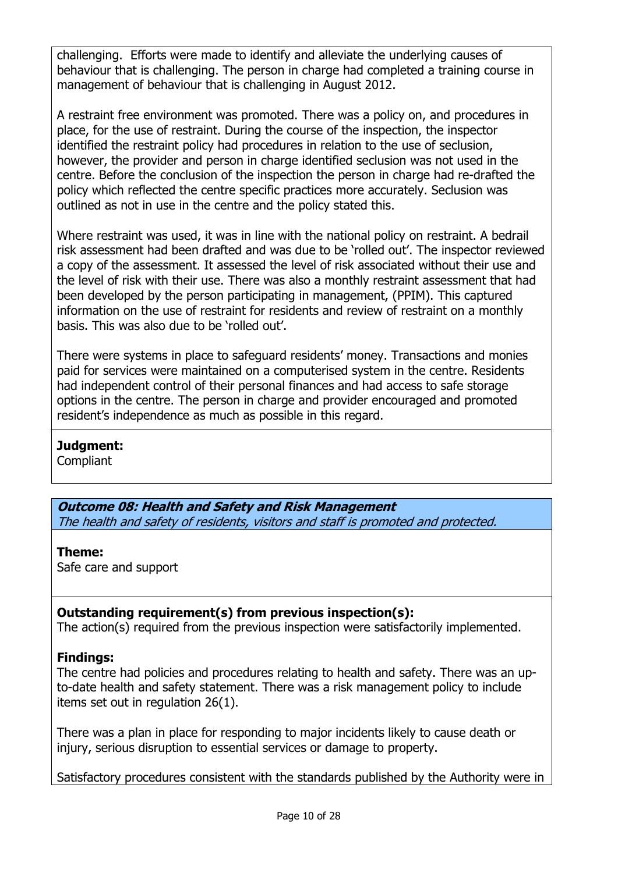challenging. Efforts were made to identify and alleviate the underlying causes of behaviour that is challenging. The person in charge had completed a training course in management of behaviour that is challenging in August 2012.

A restraint free environment was promoted. There was a policy on, and procedures in place, for the use of restraint. During the course of the inspection, the inspector identified the restraint policy had procedures in relation to the use of seclusion, however, the provider and person in charge identified seclusion was not used in the centre. Before the conclusion of the inspection the person in charge had re-drafted the policy which reflected the centre specific practices more accurately. Seclusion was outlined as not in use in the centre and the policy stated this.

Where restraint was used, it was in line with the national policy on restraint. A bedrail risk assessment had been drafted and was due to be 'rolled out'. The inspector reviewed a copy of the assessment. It assessed the level of risk associated without their use and the level of risk with their use. There was also a monthly restraint assessment that had been developed by the person participating in management, (PPIM). This captured information on the use of restraint for residents and review of restraint on a monthly basis. This was also due to be 'rolled out'.

There were systems in place to safeguard residents' money. Transactions and monies paid for services were maintained on a computerised system in the centre. Residents had independent control of their personal finances and had access to safe storage options in the centre. The person in charge and provider encouraged and promoted resident's independence as much as possible in this regard.

## Judgment:

**Compliant** 

Outcome 08: Health and Safety and Risk Management The health and safety of residents, visitors and staff is promoted and protected.

## Theme:

Safe care and support

# Outstanding requirement(s) from previous inspection(s):

The action(s) required from the previous inspection were satisfactorily implemented.

# Findings:

The centre had policies and procedures relating to health and safety. There was an upto-date health and safety statement. There was a risk management policy to include items set out in regulation 26(1).

There was a plan in place for responding to major incidents likely to cause death or injury, serious disruption to essential services or damage to property.

Satisfactory procedures consistent with the standards published by the Authority were in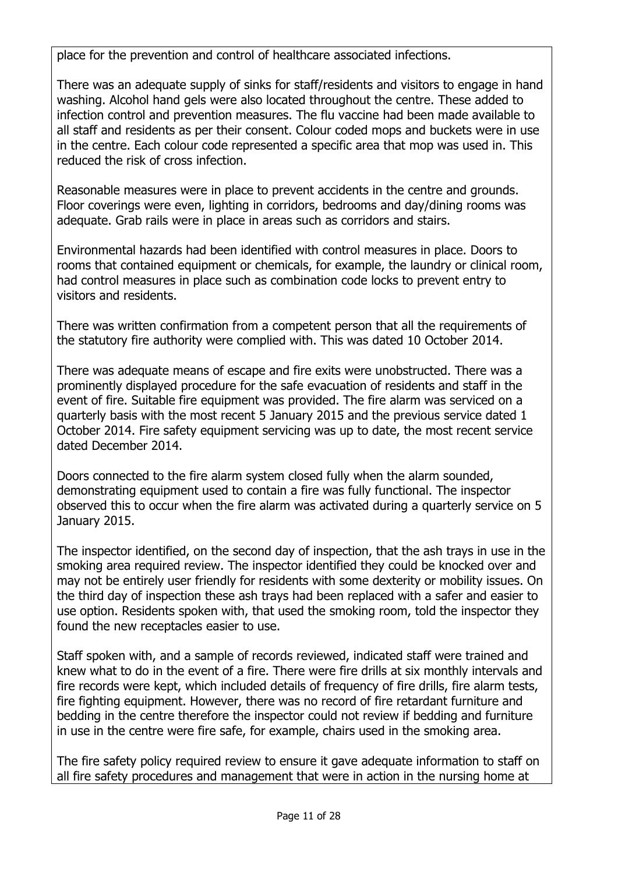place for the prevention and control of healthcare associated infections.

There was an adequate supply of sinks for staff/residents and visitors to engage in hand washing. Alcohol hand gels were also located throughout the centre. These added to infection control and prevention measures. The flu vaccine had been made available to all staff and residents as per their consent. Colour coded mops and buckets were in use in the centre. Each colour code represented a specific area that mop was used in. This reduced the risk of cross infection.

Reasonable measures were in place to prevent accidents in the centre and grounds. Floor coverings were even, lighting in corridors, bedrooms and day/dining rooms was adequate. Grab rails were in place in areas such as corridors and stairs.

Environmental hazards had been identified with control measures in place. Doors to rooms that contained equipment or chemicals, for example, the laundry or clinical room, had control measures in place such as combination code locks to prevent entry to visitors and residents.

There was written confirmation from a competent person that all the requirements of the statutory fire authority were complied with. This was dated 10 October 2014.

There was adequate means of escape and fire exits were unobstructed. There was a prominently displayed procedure for the safe evacuation of residents and staff in the event of fire. Suitable fire equipment was provided. The fire alarm was serviced on a quarterly basis with the most recent 5 January 2015 and the previous service dated 1 October 2014. Fire safety equipment servicing was up to date, the most recent service dated December 2014.

Doors connected to the fire alarm system closed fully when the alarm sounded, demonstrating equipment used to contain a fire was fully functional. The inspector observed this to occur when the fire alarm was activated during a quarterly service on 5 January 2015.

The inspector identified, on the second day of inspection, that the ash trays in use in the smoking area required review. The inspector identified they could be knocked over and may not be entirely user friendly for residents with some dexterity or mobility issues. On the third day of inspection these ash trays had been replaced with a safer and easier to use option. Residents spoken with, that used the smoking room, told the inspector they found the new receptacles easier to use.

Staff spoken with, and a sample of records reviewed, indicated staff were trained and knew what to do in the event of a fire. There were fire drills at six monthly intervals and fire records were kept, which included details of frequency of fire drills, fire alarm tests, fire fighting equipment. However, there was no record of fire retardant furniture and bedding in the centre therefore the inspector could not review if bedding and furniture in use in the centre were fire safe, for example, chairs used in the smoking area.

The fire safety policy required review to ensure it gave adequate information to staff on all fire safety procedures and management that were in action in the nursing home at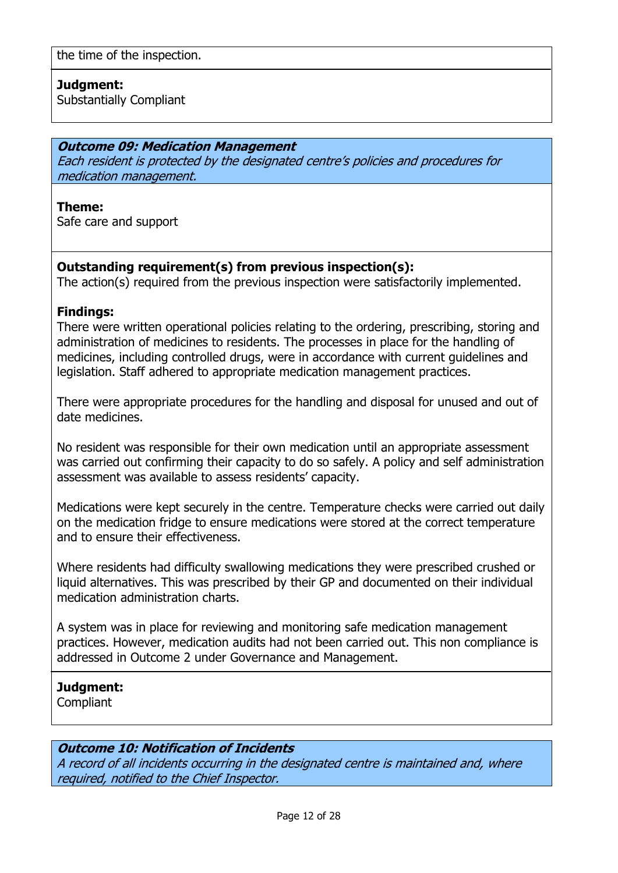# Judgment:

Substantially Compliant

#### Outcome 09: Medication Management

Each resident is protected by the designated centre's policies and procedures for medication management.

#### Theme:

Safe care and support

# Outstanding requirement(s) from previous inspection(s):

The action(s) required from the previous inspection were satisfactorily implemented.

#### Findings:

There were written operational policies relating to the ordering, prescribing, storing and administration of medicines to residents. The processes in place for the handling of medicines, including controlled drugs, were in accordance with current guidelines and legislation. Staff adhered to appropriate medication management practices.

There were appropriate procedures for the handling and disposal for unused and out of date medicines.

No resident was responsible for their own medication until an appropriate assessment was carried out confirming their capacity to do so safely. A policy and self administration assessment was available to assess residents' capacity.

Medications were kept securely in the centre. Temperature checks were carried out daily on the medication fridge to ensure medications were stored at the correct temperature and to ensure their effectiveness.

Where residents had difficulty swallowing medications they were prescribed crushed or liquid alternatives. This was prescribed by their GP and documented on their individual medication administration charts.

A system was in place for reviewing and monitoring safe medication management practices. However, medication audits had not been carried out. This non compliance is addressed in Outcome 2 under Governance and Management.

## Judgment:

Compliant

## Outcome 10: Notification of Incidents

A record of all incidents occurring in the designated centre is maintained and, where required, notified to the Chief Inspector.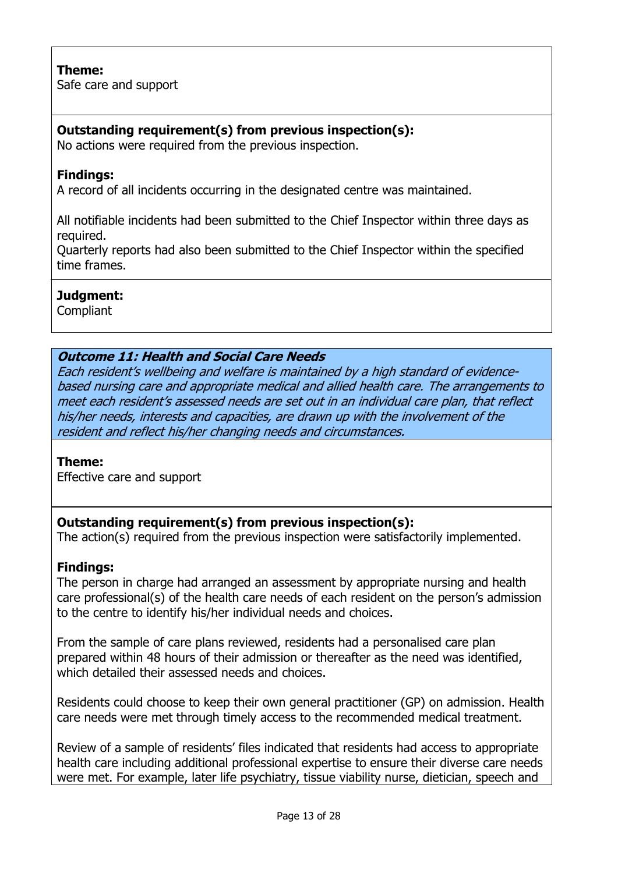# Theme:

Safe care and support

# Outstanding requirement(s) from previous inspection(s):

No actions were required from the previous inspection.

# Findings:

A record of all incidents occurring in the designated centre was maintained.

All notifiable incidents had been submitted to the Chief Inspector within three days as required.

Quarterly reports had also been submitted to the Chief Inspector within the specified time frames.

# Judgment:

**Compliant** 

# Outcome 11: Health and Social Care Needs

Each resident's wellbeing and welfare is maintained by a high standard of evidencebased nursing care and appropriate medical and allied health care. The arrangements to meet each resident's assessed needs are set out in an individual care plan, that reflect his/her needs, interests and capacities, are drawn up with the involvement of the resident and reflect his/her changing needs and circumstances.

## Theme:

Effective care and support

# Outstanding requirement(s) from previous inspection(s):

The action(s) required from the previous inspection were satisfactorily implemented.

## Findings:

The person in charge had arranged an assessment by appropriate nursing and health care professional(s) of the health care needs of each resident on the person's admission to the centre to identify his/her individual needs and choices.

From the sample of care plans reviewed, residents had a personalised care plan prepared within 48 hours of their admission or thereafter as the need was identified, which detailed their assessed needs and choices.

Residents could choose to keep their own general practitioner (GP) on admission. Health care needs were met through timely access to the recommended medical treatment.

Review of a sample of residents' files indicated that residents had access to appropriate health care including additional professional expertise to ensure their diverse care needs were met. For example, later life psychiatry, tissue viability nurse, dietician, speech and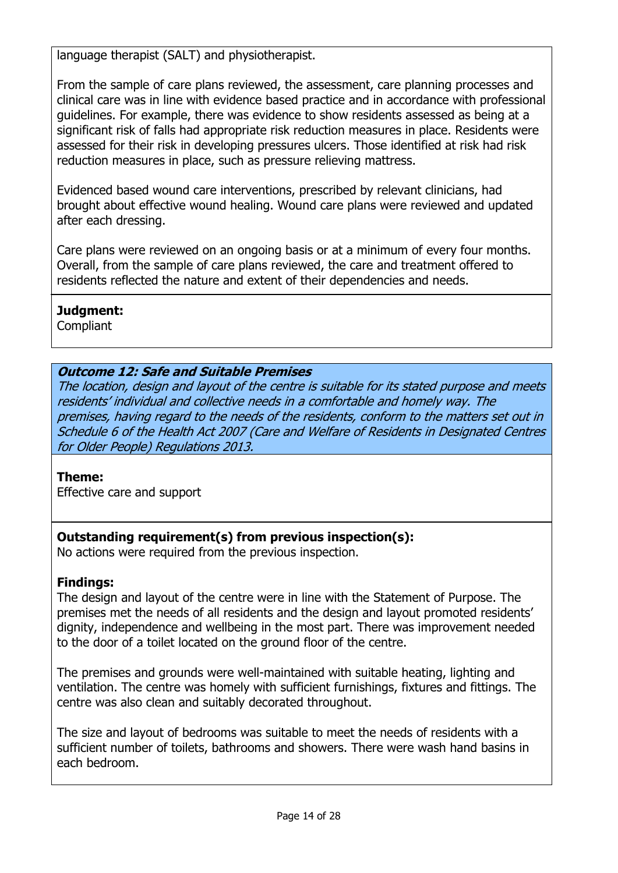language therapist (SALT) and physiotherapist.

From the sample of care plans reviewed, the assessment, care planning processes and clinical care was in line with evidence based practice and in accordance with professional guidelines. For example, there was evidence to show residents assessed as being at a significant risk of falls had appropriate risk reduction measures in place. Residents were assessed for their risk in developing pressures ulcers. Those identified at risk had risk reduction measures in place, such as pressure relieving mattress.

Evidenced based wound care interventions, prescribed by relevant clinicians, had brought about effective wound healing. Wound care plans were reviewed and updated after each dressing.

Care plans were reviewed on an ongoing basis or at a minimum of every four months. Overall, from the sample of care plans reviewed, the care and treatment offered to residents reflected the nature and extent of their dependencies and needs.

# Judgment:

**Compliant** 

# Outcome 12: Safe and Suitable Premises

The location, design and layout of the centre is suitable for its stated purpose and meets residents' individual and collective needs in a comfortable and homely way. The premises, having regard to the needs of the residents, conform to the matters set out in Schedule 6 of the Health Act 2007 (Care and Welfare of Residents in Designated Centres for Older People) Regulations 2013.

## Theme:

Effective care and support

# Outstanding requirement(s) from previous inspection(s):

No actions were required from the previous inspection.

# Findings:

The design and layout of the centre were in line with the Statement of Purpose. The premises met the needs of all residents and the design and layout promoted residents' dignity, independence and wellbeing in the most part. There was improvement needed to the door of a toilet located on the ground floor of the centre.

The premises and grounds were well-maintained with suitable heating, lighting and ventilation. The centre was homely with sufficient furnishings, fixtures and fittings. The centre was also clean and suitably decorated throughout.

The size and layout of bedrooms was suitable to meet the needs of residents with a sufficient number of toilets, bathrooms and showers. There were wash hand basins in each bedroom.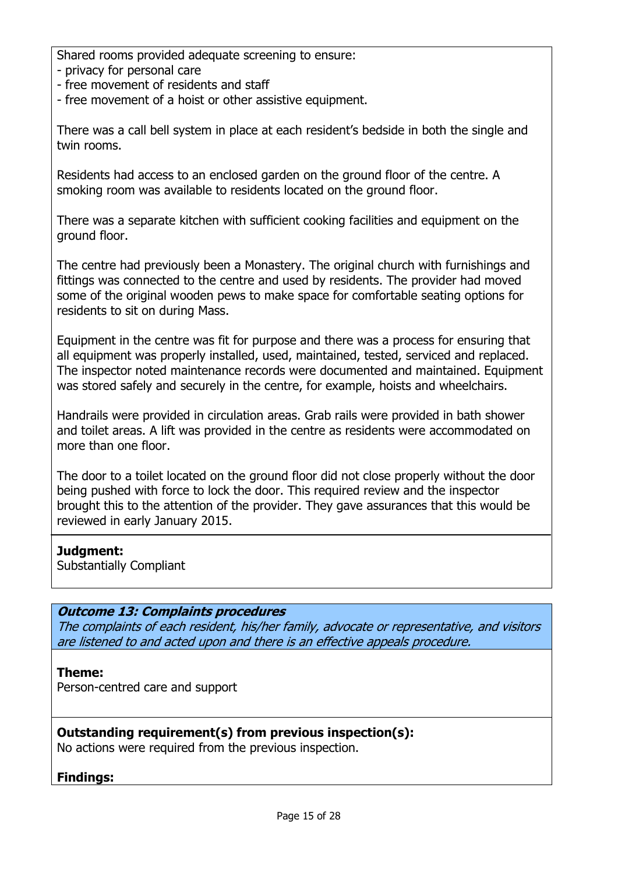Shared rooms provided adequate screening to ensure:

- privacy for personal care
- free movement of residents and staff
- free movement of a hoist or other assistive equipment.

There was a call bell system in place at each resident's bedside in both the single and twin rooms.

Residents had access to an enclosed garden on the ground floor of the centre. A smoking room was available to residents located on the ground floor.

There was a separate kitchen with sufficient cooking facilities and equipment on the ground floor.

The centre had previously been a Monastery. The original church with furnishings and fittings was connected to the centre and used by residents. The provider had moved some of the original wooden pews to make space for comfortable seating options for residents to sit on during Mass.

Equipment in the centre was fit for purpose and there was a process for ensuring that all equipment was properly installed, used, maintained, tested, serviced and replaced. The inspector noted maintenance records were documented and maintained. Equipment was stored safely and securely in the centre, for example, hoists and wheelchairs.

Handrails were provided in circulation areas. Grab rails were provided in bath shower and toilet areas. A lift was provided in the centre as residents were accommodated on more than one floor.

The door to a toilet located on the ground floor did not close properly without the door being pushed with force to lock the door. This required review and the inspector brought this to the attention of the provider. They gave assurances that this would be reviewed in early January 2015.

## Judament:

Substantially Compliant

## Outcome 13: Complaints procedures

The complaints of each resident, his/her family, advocate or representative, and visitors are listened to and acted upon and there is an effective appeals procedure.

## Theme:

Person-centred care and support

## Outstanding requirement(s) from previous inspection(s):

No actions were required from the previous inspection.

## Findings: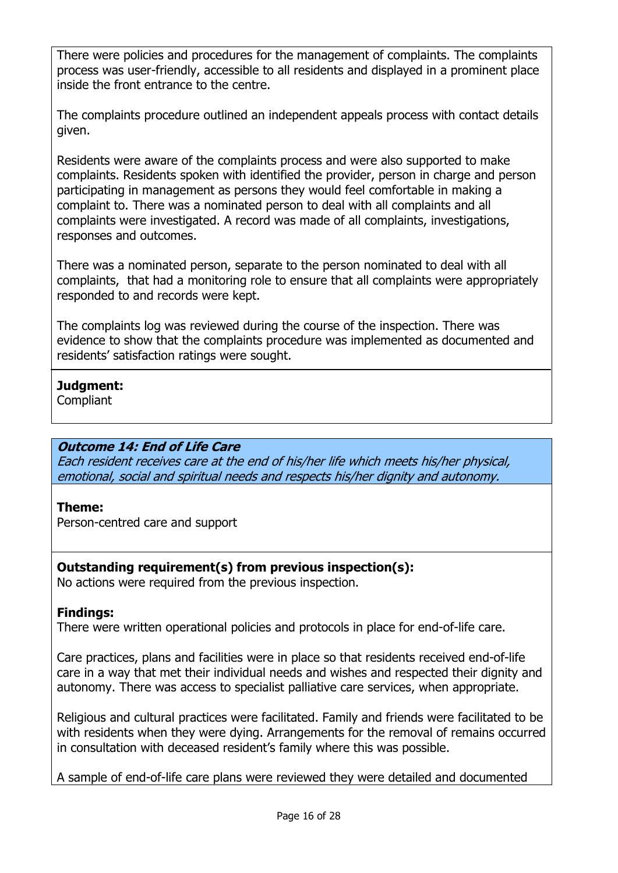There were policies and procedures for the management of complaints. The complaints process was user-friendly, accessible to all residents and displayed in a prominent place inside the front entrance to the centre.

The complaints procedure outlined an independent appeals process with contact details given.

Residents were aware of the complaints process and were also supported to make complaints. Residents spoken with identified the provider, person in charge and person participating in management as persons they would feel comfortable in making a complaint to. There was a nominated person to deal with all complaints and all complaints were investigated. A record was made of all complaints, investigations, responses and outcomes.

There was a nominated person, separate to the person nominated to deal with all complaints, that had a monitoring role to ensure that all complaints were appropriately responded to and records were kept.

The complaints log was reviewed during the course of the inspection. There was evidence to show that the complaints procedure was implemented as documented and residents' satisfaction ratings were sought.

# Judgment:

**Compliant** 

# Outcome 14: End of Life Care

Each resident receives care at the end of his/her life which meets his/her physical, emotional, social and spiritual needs and respects his/her dignity and autonomy.

## Theme:

Person-centred care and support

## Outstanding requirement(s) from previous inspection(s):

No actions were required from the previous inspection.

# Findings:

There were written operational policies and protocols in place for end-of-life care.

Care practices, plans and facilities were in place so that residents received end-of-life care in a way that met their individual needs and wishes and respected their dignity and autonomy. There was access to specialist palliative care services, when appropriate.

Religious and cultural practices were facilitated. Family and friends were facilitated to be with residents when they were dying. Arrangements for the removal of remains occurred in consultation with deceased resident's family where this was possible.

A sample of end-of-life care plans were reviewed they were detailed and documented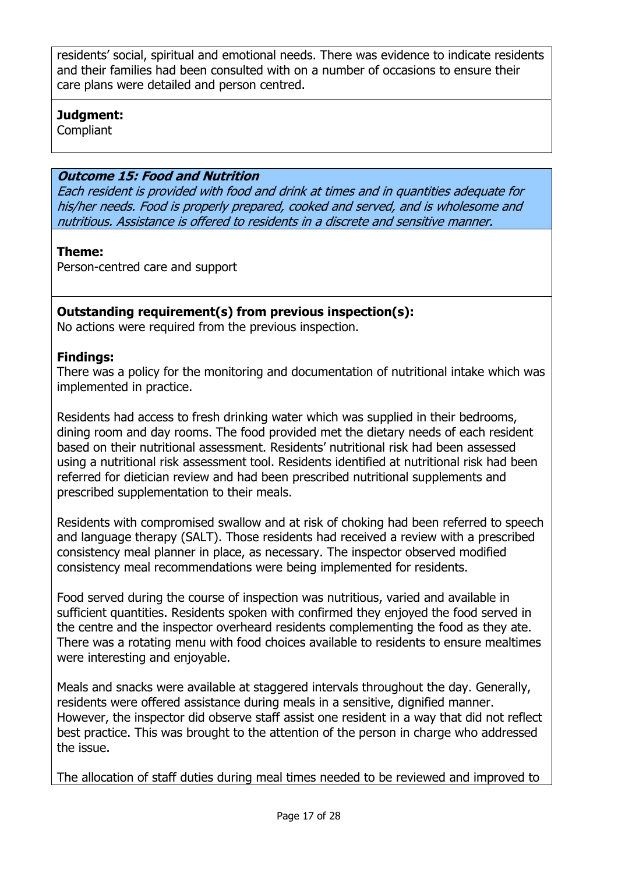residents' social, spiritual and emotional needs. There was evidence to indicate residents and their families had been consulted with on a number of occasions to ensure their care plans were detailed and person centred.

# Judgment:

**Compliant** 

# Outcome 15: Food and Nutrition

Each resident is provided with food and drink at times and in quantities adequate for his/her needs. Food is properly prepared, cooked and served, and is wholesome and nutritious. Assistance is offered to residents in a discrete and sensitive manner.

# Theme:

Person-centred care and support

# Outstanding requirement(s) from previous inspection(s):

No actions were required from the previous inspection.

# Findings:

There was a policy for the monitoring and documentation of nutritional intake which was implemented in practice.

Residents had access to fresh drinking water which was supplied in their bedrooms, dining room and day rooms. The food provided met the dietary needs of each resident based on their nutritional assessment. Residents' nutritional risk had been assessed using a nutritional risk assessment tool. Residents identified at nutritional risk had been referred for dietician review and had been prescribed nutritional supplements and prescribed supplementation to their meals.

Residents with compromised swallow and at risk of choking had been referred to speech and language therapy (SALT). Those residents had received a review with a prescribed consistency meal planner in place, as necessary. The inspector observed modified consistency meal recommendations were being implemented for residents.

Food served during the course of inspection was nutritious, varied and available in sufficient quantities. Residents spoken with confirmed they enjoyed the food served in the centre and the inspector overheard residents complementing the food as they ate. There was a rotating menu with food choices available to residents to ensure mealtimes were interesting and enjoyable.

Meals and snacks were available at staggered intervals throughout the day. Generally, residents were offered assistance during meals in a sensitive, dignified manner. However, the inspector did observe staff assist one resident in a way that did not reflect best practice. This was brought to the attention of the person in charge who addressed the issue.

The allocation of staff duties during meal times needed to be reviewed and improved to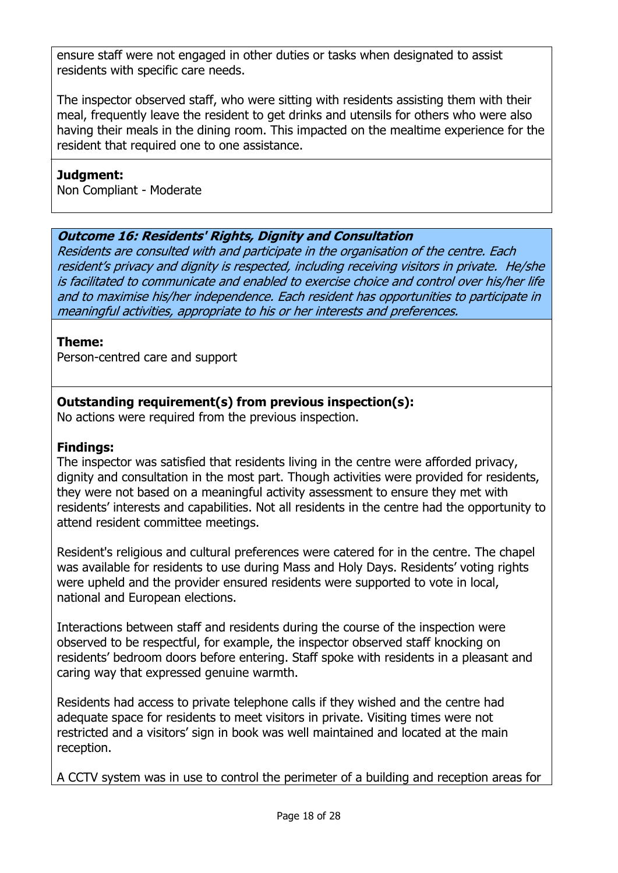ensure staff were not engaged in other duties or tasks when designated to assist residents with specific care needs.

The inspector observed staff, who were sitting with residents assisting them with their meal, frequently leave the resident to get drinks and utensils for others who were also having their meals in the dining room. This impacted on the mealtime experience for the resident that required one to one assistance.

# Judgment:

Non Compliant - Moderate

# Outcome 16: Residents' Rights, Dignity and Consultation

Residents are consulted with and participate in the organisation of the centre. Each resident's privacy and dignity is respected, including receiving visitors in private. He/she is facilitated to communicate and enabled to exercise choice and control over his/her life and to maximise his/her independence. Each resident has opportunities to participate in meaningful activities, appropriate to his or her interests and preferences.

## Theme:

Person-centred care and support

# Outstanding requirement(s) from previous inspection(s):

No actions were required from the previous inspection.

# Findings:

The inspector was satisfied that residents living in the centre were afforded privacy, dignity and consultation in the most part. Though activities were provided for residents, they were not based on a meaningful activity assessment to ensure they met with residents' interests and capabilities. Not all residents in the centre had the opportunity to attend resident committee meetings.

Resident's religious and cultural preferences were catered for in the centre. The chapel was available for residents to use during Mass and Holy Days. Residents' voting rights were upheld and the provider ensured residents were supported to vote in local, national and European elections.

Interactions between staff and residents during the course of the inspection were observed to be respectful, for example, the inspector observed staff knocking on residents' bedroom doors before entering. Staff spoke with residents in a pleasant and caring way that expressed genuine warmth.

Residents had access to private telephone calls if they wished and the centre had adequate space for residents to meet visitors in private. Visiting times were not restricted and a visitors' sign in book was well maintained and located at the main reception.

A CCTV system was in use to control the perimeter of a building and reception areas for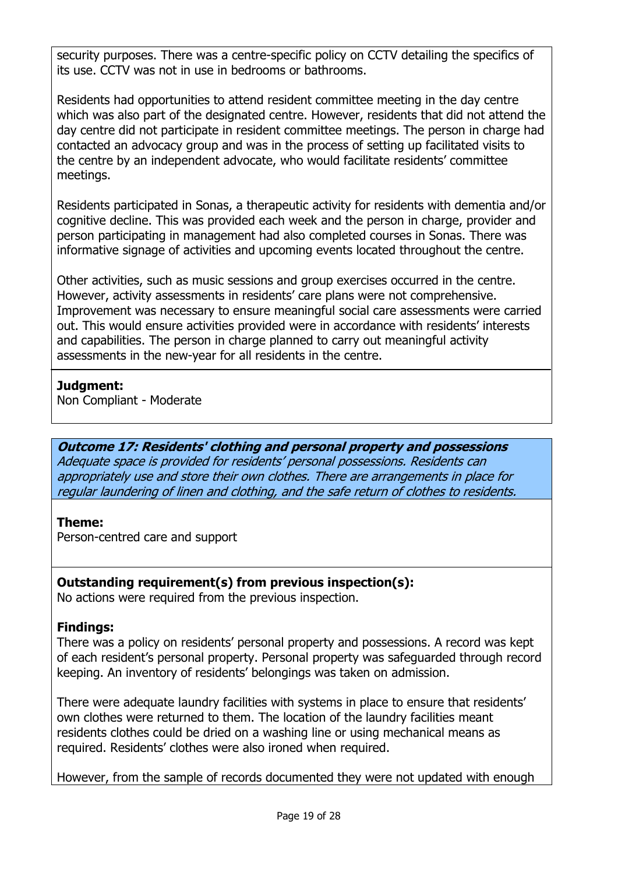security purposes. There was a centre-specific policy on CCTV detailing the specifics of its use. CCTV was not in use in bedrooms or bathrooms.

Residents had opportunities to attend resident committee meeting in the day centre which was also part of the designated centre. However, residents that did not attend the day centre did not participate in resident committee meetings. The person in charge had contacted an advocacy group and was in the process of setting up facilitated visits to the centre by an independent advocate, who would facilitate residents' committee meetings.

Residents participated in Sonas, a therapeutic activity for residents with dementia and/or cognitive decline. This was provided each week and the person in charge, provider and person participating in management had also completed courses in Sonas. There was informative signage of activities and upcoming events located throughout the centre.

Other activities, such as music sessions and group exercises occurred in the centre. However, activity assessments in residents' care plans were not comprehensive. Improvement was necessary to ensure meaningful social care assessments were carried out. This would ensure activities provided were in accordance with residents' interests and capabilities. The person in charge planned to carry out meaningful activity assessments in the new-year for all residents in the centre.

## Judgment:

Non Compliant - Moderate

Outcome 17: Residents' clothing and personal property and possessions Adequate space is provided for residents' personal possessions. Residents can appropriately use and store their own clothes. There are arrangements in place for regular laundering of linen and clothing, and the safe return of clothes to residents.

# Theme:

Person-centred care and support

# Outstanding requirement(s) from previous inspection(s):

No actions were required from the previous inspection.

# Findings:

There was a policy on residents' personal property and possessions. A record was kept of each resident's personal property. Personal property was safeguarded through record keeping. An inventory of residents' belongings was taken on admission.

There were adequate laundry facilities with systems in place to ensure that residents' own clothes were returned to them. The location of the laundry facilities meant residents clothes could be dried on a washing line or using mechanical means as required. Residents' clothes were also ironed when required.

However, from the sample of records documented they were not updated with enough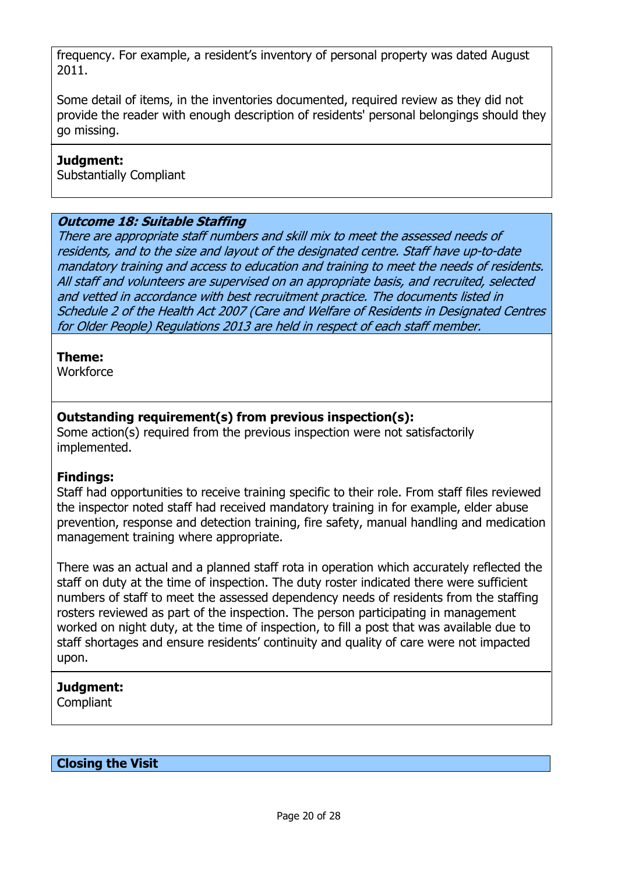frequency. For example, a resident's inventory of personal property was dated August 2011.

Some detail of items, in the inventories documented, required review as they did not provide the reader with enough description of residents' personal belongings should they go missing.

#### Judgment:

Substantially Compliant

# Outcome 18: Suitable Staffing

There are appropriate staff numbers and skill mix to meet the assessed needs of residents, and to the size and layout of the designated centre. Staff have up-to-date mandatory training and access to education and training to meet the needs of residents. All staff and volunteers are supervised on an appropriate basis, and recruited, selected and vetted in accordance with best recruitment practice. The documents listed in Schedule 2 of the Health Act 2007 (Care and Welfare of Residents in Designated Centres for Older People) Regulations 2013 are held in respect of each staff member.

#### Theme:

**Workforce** 

# Outstanding requirement(s) from previous inspection(s):

Some action(s) required from the previous inspection were not satisfactorily implemented.

## Findings:

Staff had opportunities to receive training specific to their role. From staff files reviewed the inspector noted staff had received mandatory training in for example, elder abuse prevention, response and detection training, fire safety, manual handling and medication management training where appropriate.

There was an actual and a planned staff rota in operation which accurately reflected the staff on duty at the time of inspection. The duty roster indicated there were sufficient numbers of staff to meet the assessed dependency needs of residents from the staffing rosters reviewed as part of the inspection. The person participating in management worked on night duty, at the time of inspection, to fill a post that was available due to staff shortages and ensure residents' continuity and quality of care were not impacted upon.

## Judgment:

Compliant

Closing the Visit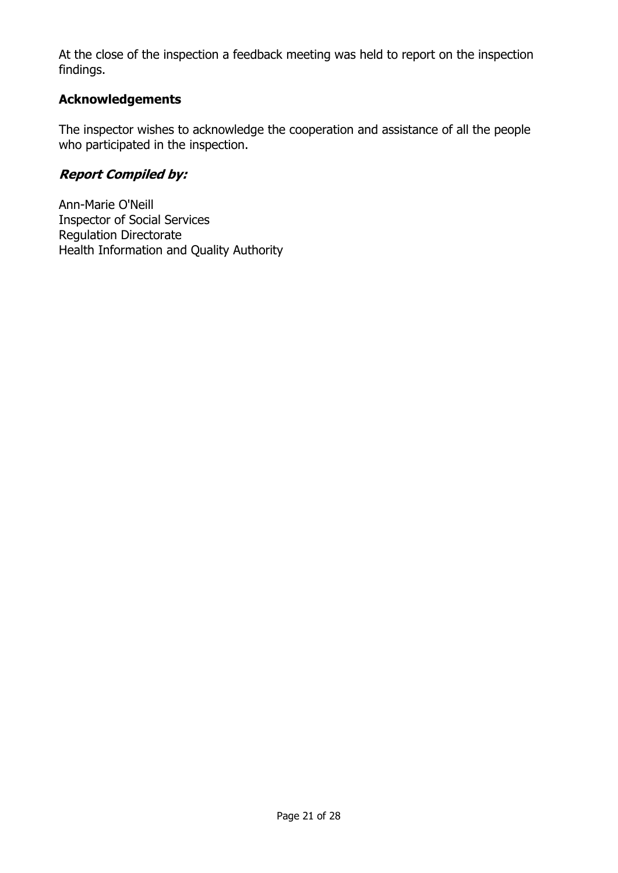At the close of the inspection a feedback meeting was held to report on the inspection findings.

# Acknowledgements

The inspector wishes to acknowledge the cooperation and assistance of all the people who participated in the inspection.

# Report Compiled by:

Ann-Marie O'Neill Inspector of Social Services Regulation Directorate Health Information and Quality Authority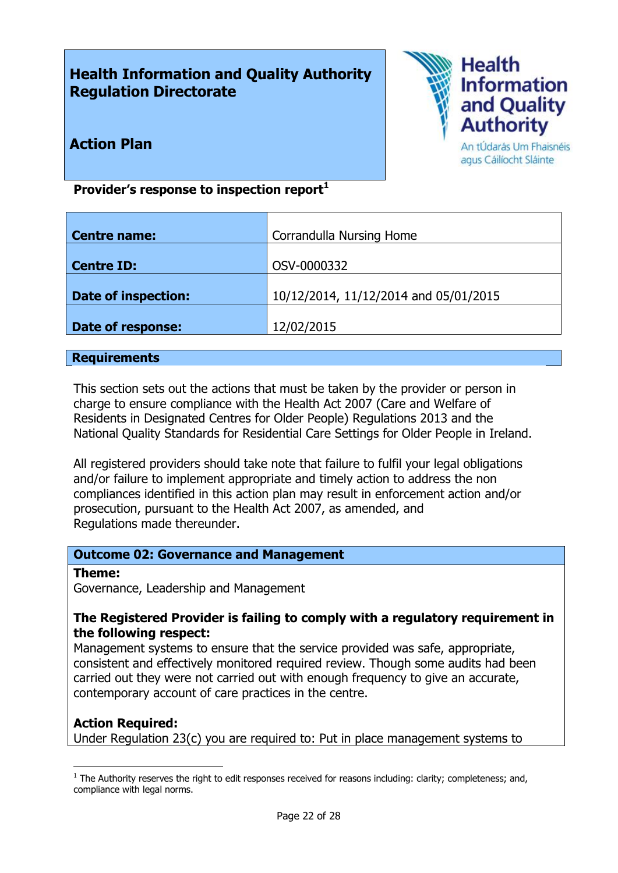# Health Information and Quality Authority Regulation Directorate



Action Plan

An tÚdarás Um Fhaisnéis agus Cáilíocht Sláinte

# Provider's response to inspection report $<sup>1</sup>$ </sup>

| <b>Centre name:</b> | Corrandulla Nursing Home              |
|---------------------|---------------------------------------|
|                     |                                       |
| <b>Centre ID:</b>   | OSV-0000332                           |
|                     |                                       |
| Date of inspection: | 10/12/2014, 11/12/2014 and 05/01/2015 |
|                     |                                       |
| Date of response:   | 12/02/2015                            |
|                     |                                       |

#### **Requirements**

This section sets out the actions that must be taken by the provider or person in charge to ensure compliance with the Health Act 2007 (Care and Welfare of Residents in Designated Centres for Older People) Regulations 2013 and the National Quality Standards for Residential Care Settings for Older People in Ireland.

All registered providers should take note that failure to fulfil your legal obligations and/or failure to implement appropriate and timely action to address the non compliances identified in this action plan may result in enforcement action and/or prosecution, pursuant to the Health Act 2007, as amended, and Regulations made thereunder.

#### Outcome 02: Governance and Management

#### Theme:

Governance, Leadership and Management

#### The Registered Provider is failing to comply with a regulatory requirement in the following respect:

Management systems to ensure that the service provided was safe, appropriate, consistent and effectively monitored required review. Though some audits had been carried out they were not carried out with enough frequency to give an accurate, contemporary account of care practices in the centre.

## Action Required:

-

Under Regulation 23(c) you are required to: Put in place management systems to

 $1$  The Authority reserves the right to edit responses received for reasons including: clarity; completeness; and, compliance with legal norms.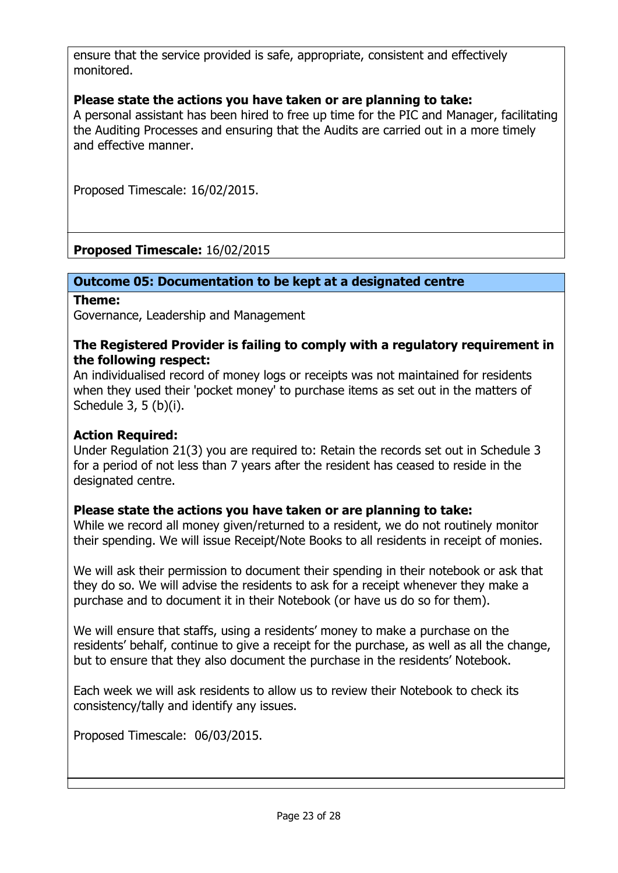ensure that the service provided is safe, appropriate, consistent and effectively monitored.

## Please state the actions you have taken or are planning to take:

A personal assistant has been hired to free up time for the PIC and Manager, facilitating the Auditing Processes and ensuring that the Audits are carried out in a more timely and effective manner.

Proposed Timescale: 16/02/2015.

Proposed Timescale: 16/02/2015

#### Outcome 05: Documentation to be kept at a designated centre

#### Theme:

Governance, Leadership and Management

#### The Registered Provider is failing to comply with a regulatory requirement in the following respect:

An individualised record of money logs or receipts was not maintained for residents when they used their 'pocket money' to purchase items as set out in the matters of Schedule 3, 5 (b)(i).

#### Action Required:

Under Regulation 21(3) you are required to: Retain the records set out in Schedule 3 for a period of not less than 7 years after the resident has ceased to reside in the designated centre.

## Please state the actions you have taken or are planning to take:

While we record all money given/returned to a resident, we do not routinely monitor their spending. We will issue Receipt/Note Books to all residents in receipt of monies.

We will ask their permission to document their spending in their notebook or ask that they do so. We will advise the residents to ask for a receipt whenever they make a purchase and to document it in their Notebook (or have us do so for them).

We will ensure that staffs, using a residents' money to make a purchase on the residents' behalf, continue to give a receipt for the purchase, as well as all the change, but to ensure that they also document the purchase in the residents' Notebook.

Each week we will ask residents to allow us to review their Notebook to check its consistency/tally and identify any issues.

Proposed Timescale: 06/03/2015.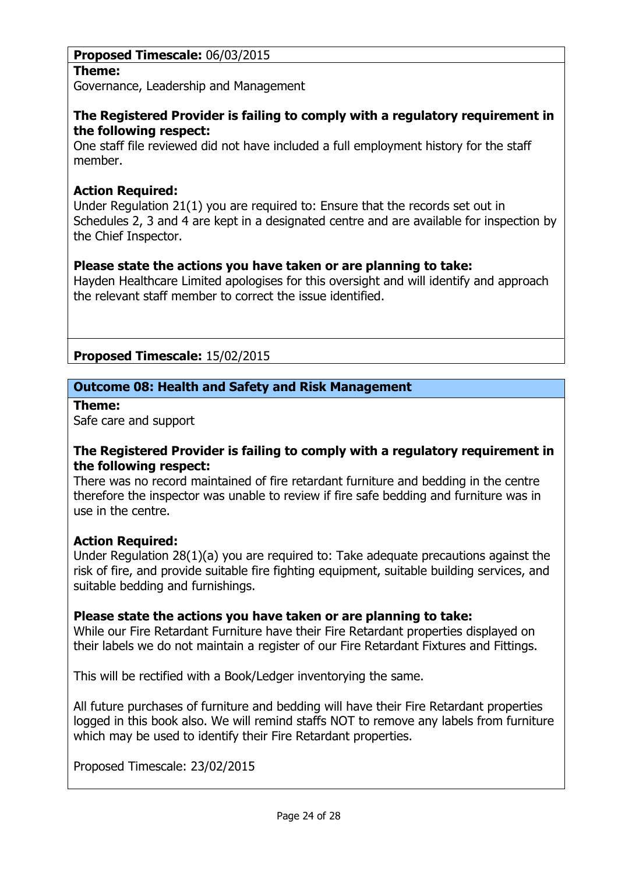# Proposed Timescale: 06/03/2015

## Theme:

Governance, Leadership and Management

## The Registered Provider is failing to comply with a regulatory requirement in the following respect:

One staff file reviewed did not have included a full employment history for the staff member.

# Action Required:

Under Regulation 21(1) you are required to: Ensure that the records set out in Schedules 2, 3 and 4 are kept in a designated centre and are available for inspection by the Chief Inspector.

# Please state the actions you have taken or are planning to take:

Hayden Healthcare Limited apologises for this oversight and will identify and approach the relevant staff member to correct the issue identified.

Proposed Timescale: 15/02/2015

# Outcome 08: Health and Safety and Risk Management

#### Theme:

Safe care and support

#### The Registered Provider is failing to comply with a regulatory requirement in the following respect:

There was no record maintained of fire retardant furniture and bedding in the centre therefore the inspector was unable to review if fire safe bedding and furniture was in use in the centre.

## Action Required:

Under Regulation 28(1)(a) you are required to: Take adequate precautions against the risk of fire, and provide suitable fire fighting equipment, suitable building services, and suitable bedding and furnishings.

## Please state the actions you have taken or are planning to take:

While our Fire Retardant Furniture have their Fire Retardant properties displayed on their labels we do not maintain a register of our Fire Retardant Fixtures and Fittings.

This will be rectified with a Book/Ledger inventorying the same.

All future purchases of furniture and bedding will have their Fire Retardant properties logged in this book also. We will remind staffs NOT to remove any labels from furniture which may be used to identify their Fire Retardant properties.

Proposed Timescale: 23/02/2015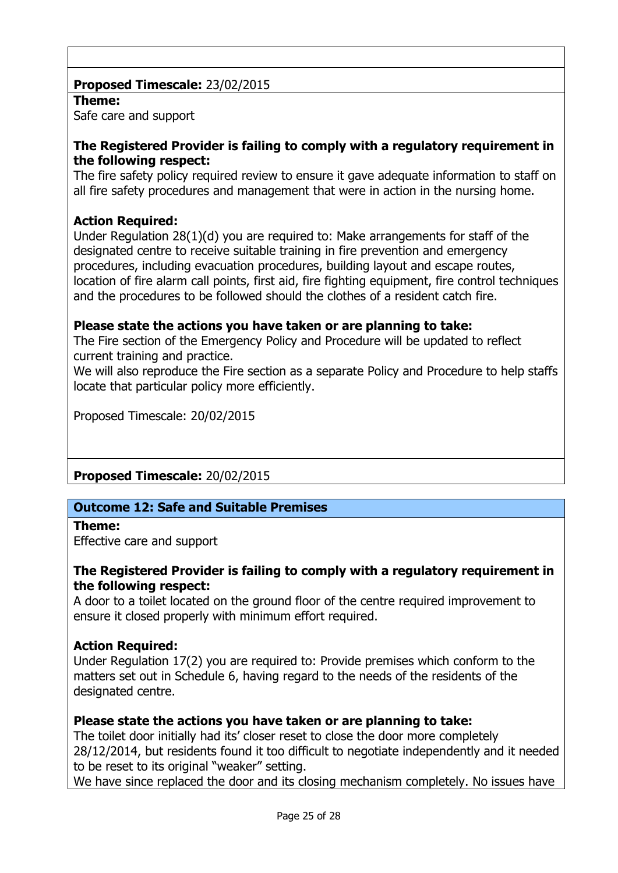# Proposed Timescale: 23/02/2015

## Theme:

Safe care and support

## The Registered Provider is failing to comply with a regulatory requirement in the following respect:

The fire safety policy required review to ensure it gave adequate information to staff on all fire safety procedures and management that were in action in the nursing home.

# Action Required:

Under Regulation 28(1)(d) you are required to: Make arrangements for staff of the designated centre to receive suitable training in fire prevention and emergency procedures, including evacuation procedures, building layout and escape routes, location of fire alarm call points, first aid, fire fighting equipment, fire control techniques and the procedures to be followed should the clothes of a resident catch fire.

# Please state the actions you have taken or are planning to take:

The Fire section of the Emergency Policy and Procedure will be updated to reflect current training and practice.

We will also reproduce the Fire section as a separate Policy and Procedure to help staffs locate that particular policy more efficiently.

Proposed Timescale: 20/02/2015

Proposed Timescale: 20/02/2015

## Outcome 12: Safe and Suitable Premises

## Theme:

Effective care and support

## The Registered Provider is failing to comply with a regulatory requirement in the following respect:

A door to a toilet located on the ground floor of the centre required improvement to ensure it closed properly with minimum effort required.

## Action Required:

Under Regulation 17(2) you are required to: Provide premises which conform to the matters set out in Schedule 6, having regard to the needs of the residents of the designated centre.

## Please state the actions you have taken or are planning to take:

The toilet door initially had its' closer reset to close the door more completely 28/12/2014, but residents found it too difficult to negotiate independently and it needed to be reset to its original "weaker" setting.

We have since replaced the door and its closing mechanism completely. No issues have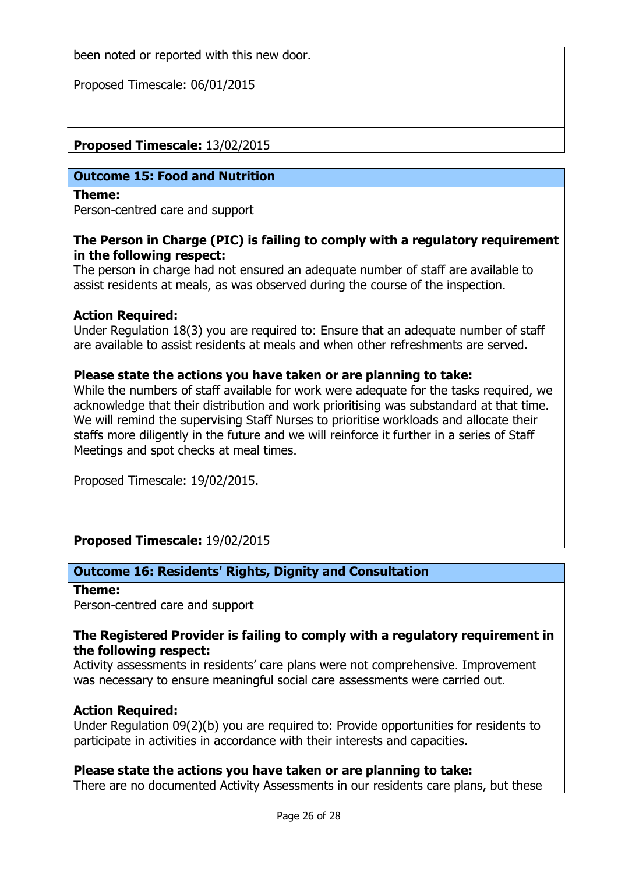been noted or reported with this new door.

Proposed Timescale: 06/01/2015

Proposed Timescale: 13/02/2015

## Outcome 15: Food and Nutrition

#### Theme:

Person-centred care and support

## The Person in Charge (PIC) is failing to comply with a regulatory requirement in the following respect:

The person in charge had not ensured an adequate number of staff are available to assist residents at meals, as was observed during the course of the inspection.

## Action Required:

Under Regulation 18(3) you are required to: Ensure that an adequate number of staff are available to assist residents at meals and when other refreshments are served.

## Please state the actions you have taken or are planning to take:

While the numbers of staff available for work were adequate for the tasks required, we acknowledge that their distribution and work prioritising was substandard at that time. We will remind the supervising Staff Nurses to prioritise workloads and allocate their staffs more diligently in the future and we will reinforce it further in a series of Staff Meetings and spot checks at meal times.

Proposed Timescale: 19/02/2015.

Proposed Timescale: 19/02/2015

## Outcome 16: Residents' Rights, Dignity and Consultation

#### Theme:

Person-centred care and support

#### The Registered Provider is failing to comply with a regulatory requirement in the following respect:

Activity assessments in residents' care plans were not comprehensive. Improvement was necessary to ensure meaningful social care assessments were carried out.

#### **Action Required:**

Under Regulation 09(2)(b) you are required to: Provide opportunities for residents to participate in activities in accordance with their interests and capacities.

## Please state the actions you have taken or are planning to take:

There are no documented Activity Assessments in our residents care plans, but these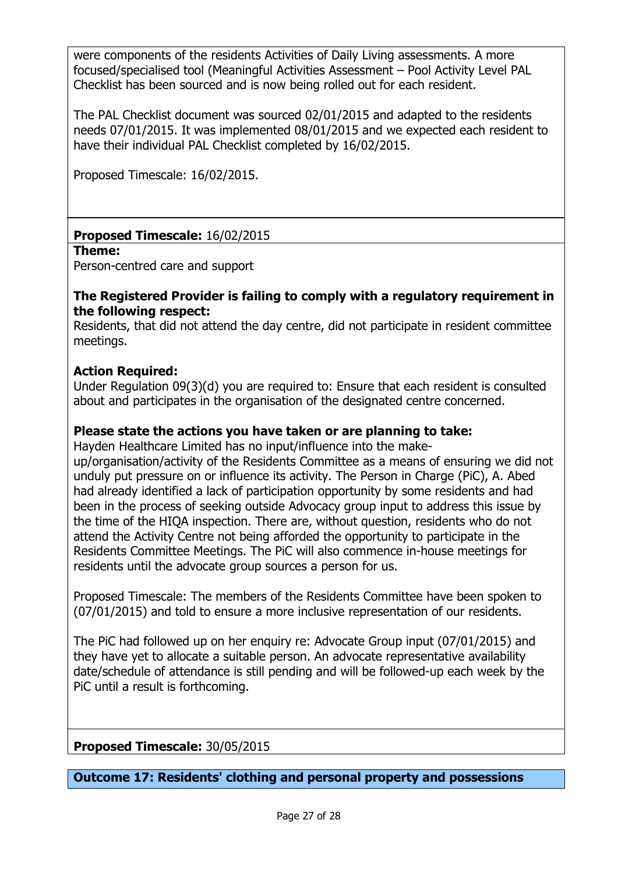were components of the residents Activities of Daily Living assessments. A more focused/specialised tool (Meaningful Activities Assessment – Pool Activity Level PAL Checklist has been sourced and is now being rolled out for each resident.

The PAL Checklist document was sourced 02/01/2015 and adapted to the residents needs 07/01/2015. It was implemented 08/01/2015 and we expected each resident to have their individual PAL Checklist completed by 16/02/2015.

Proposed Timescale: 16/02/2015.

# Proposed Timescale: 16/02/2015

#### Theme:

Person-centred care and support

## The Registered Provider is failing to comply with a regulatory requirement in the following respect:

Residents, that did not attend the day centre, did not participate in resident committee meetings.

# Action Required:

Under Regulation 09(3)(d) you are required to: Ensure that each resident is consulted about and participates in the organisation of the designated centre concerned.

# Please state the actions you have taken or are planning to take:

Hayden Healthcare Limited has no input/influence into the make-

up/organisation/activity of the Residents Committee as a means of ensuring we did not unduly put pressure on or influence its activity. The Person in Charge (PiC), A. Abed had already identified a lack of participation opportunity by some residents and had been in the process of seeking outside Advocacy group input to address this issue by the time of the HIQA inspection. There are, without question, residents who do not attend the Activity Centre not being afforded the opportunity to participate in the Residents Committee Meetings. The PiC will also commence in-house meetings for residents until the advocate group sources a person for us.

Proposed Timescale: The members of the Residents Committee have been spoken to (07/01/2015) and told to ensure a more inclusive representation of our residents.

The PiC had followed up on her enquiry re: Advocate Group input (07/01/2015) and they have yet to allocate a suitable person. An advocate representative availability date/schedule of attendance is still pending and will be followed-up each week by the PiC until a result is forthcoming.

Proposed Timescale: 30/05/2015

Outcome 17: Residents' clothing and personal property and possessions